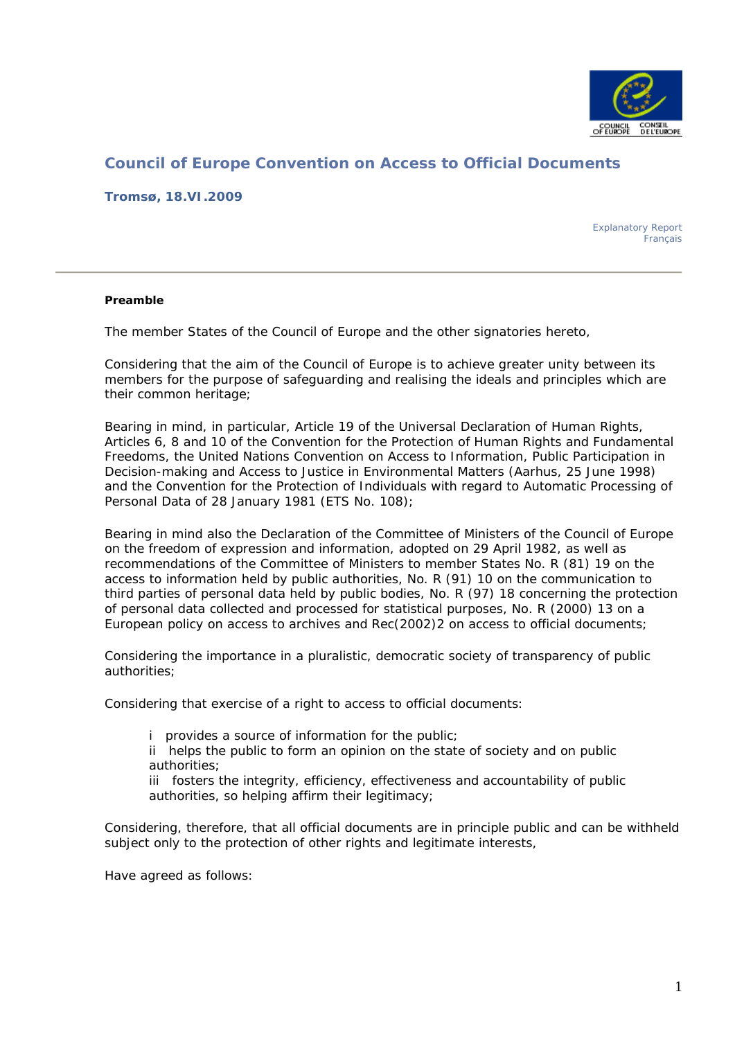

# **Council of Europe Convention on Access to Official Documents**

**Tromsø, 18.VI.2009** 

Explanatory Report Français

#### **Preamble**

The member States of the Council of Europe and the other signatories hereto,

Considering that the aim of the Council of Europe is to achieve greater unity between its members for the purpose of safeguarding and realising the ideals and principles which are their common heritage;

Bearing in mind, in particular, Article 19 of the Universal Declaration of Human Rights, Articles 6, 8 and 10 of the Convention for the Protection of Human Rights and Fundamental Freedoms, the United Nations Convention on Access to Information, Public Participation in Decision-making and Access to Justice in Environmental Matters (Aarhus, 25 June 1998) and the Convention for the Protection of Individuals with regard to Automatic Processing of Personal Data of 28 January 1981 (ETS No. 108);

Bearing in mind also the Declaration of the Committee of Ministers of the Council of Europe on the freedom of expression and information, adopted on 29 April 1982, as well as recommendations of the Committee of Ministers to member States No. R (81) 19 on the access to information held by public authorities, No. R (91) 10 on the communication to third parties of personal data held by public bodies, No. R (97) 18 concerning the protection of personal data collected and processed for statistical purposes, No. R (2000) 13 on a European policy on access to archives and Rec(2002)2 on access to official documents;

Considering the importance in a pluralistic, democratic society of transparency of public authorities;

Considering that exercise of a right to access to official documents:

i provides a source of information for the public;

ii helps the public to form an opinion on the state of society and on public authorities;

iii fosters the integrity, efficiency, effectiveness and accountability of public authorities, so helping affirm their legitimacy;

Considering, therefore, that all official documents are in principle public and can be withheld subject only to the protection of other rights and legitimate interests,

Have agreed as follows: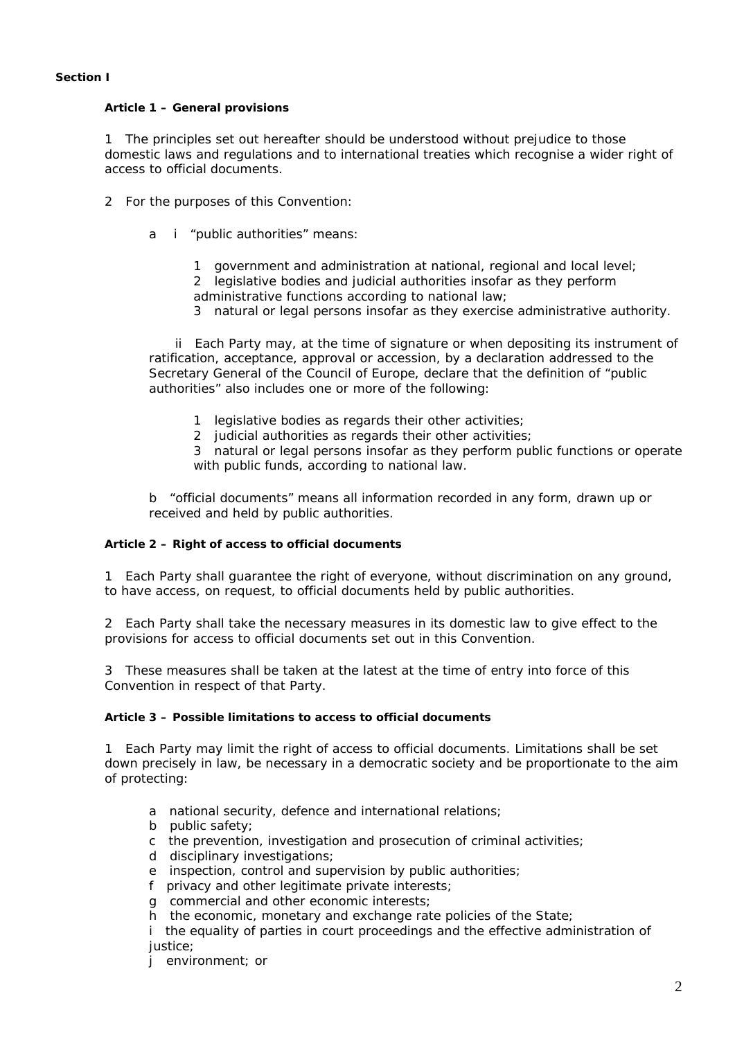#### **Section I**

#### **Article 1 – General provisions**

1 The principles set out hereafter should be understood without prejudice to those domestic laws and regulations and to international treaties which recognise a wider right of access to official documents.

- 2 For the purposes of this Convention:
	- a i "public authorities" means:
		- 1 government and administration at national, regional and local level; 2 legislative bodies and judicial authorities insofar as they perform administrative functions according to national law;
		- 3 natural or legal persons insofar as they exercise administrative authority.

 ii Each Party may, at the time of signature or when depositing its instrument of ratification, acceptance, approval or accession, by a declaration addressed to the Secretary General of the Council of Europe, declare that the definition of "public authorities" also includes one or more of the following:

- 1 legislative bodies as regards their other activities;
- 2 judicial authorities as regards their other activities;

3 natural or legal persons insofar as they perform public functions or operate with public funds, according to national law.

b "official documents" means all information recorded in any form, drawn up or received and held by public authorities.

#### **Article 2 – Right of access to official documents**

1 Each Party shall guarantee the right of everyone, without discrimination on any ground, to have access, on request, to official documents held by public authorities.

2 Each Party shall take the necessary measures in its domestic law to give effect to the provisions for access to official documents set out in this Convention.

3 These measures shall be taken at the latest at the time of entry into force of this Convention in respect of that Party.

#### **Article 3 – Possible limitations to access to official documents**

1 Each Party may limit the right of access to official documents. Limitations shall be set down precisely in law, be necessary in a democratic society and be proportionate to the aim of protecting:

- a national security, defence and international relations;
- b public safety;
- c the prevention, investigation and prosecution of criminal activities;
- d disciplinary investigations;
- e inspection, control and supervision by public authorities;
- f privacy and other legitimate private interests;
- g commercial and other economic interests;
- h the economic, monetary and exchange rate policies of the State;

i the equality of parties in court proceedings and the effective administration of justice;

j environment; or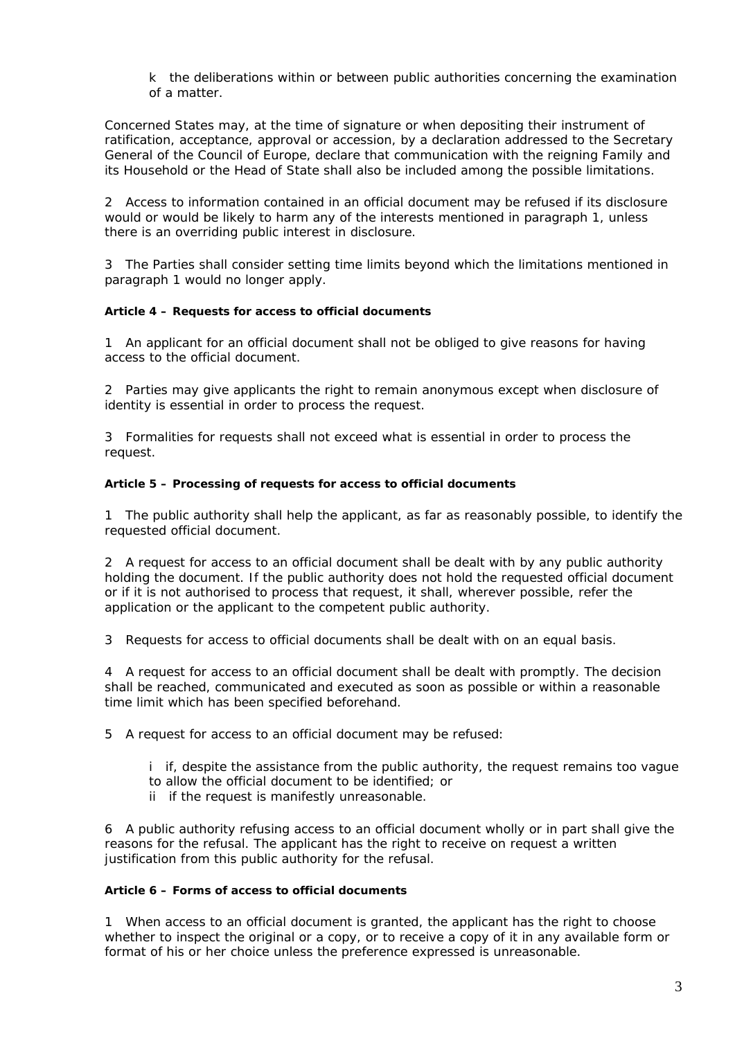k the deliberations within or between public authorities concerning the examination of a matter.

Concerned States may, at the time of signature or when depositing their instrument of ratification, acceptance, approval or accession, by a declaration addressed to the Secretary General of the Council of Europe, declare that communication with the reigning Family and its Household or the Head of State shall also be included among the possible limitations.

2 Access to information contained in an official document may be refused if its disclosure would or would be likely to harm any of the interests mentioned in paragraph 1, unless there is an overriding public interest in disclosure.

3 The Parties shall consider setting time limits beyond which the limitations mentioned in paragraph 1 would no longer apply.

#### **Article 4 – Requests for access to official documents**

1 An applicant for an official document shall not be obliged to give reasons for having access to the official document.

2 Parties may give applicants the right to remain anonymous except when disclosure of identity is essential in order to process the request.

3 Formalities for requests shall not exceed what is essential in order to process the request.

#### **Article 5 – Processing of requests for access to official documents**

1 The public authority shall help the applicant, as far as reasonably possible, to identify the requested official document.

2 A request for access to an official document shall be dealt with by any public authority holding the document. If the public authority does not hold the requested official document or if it is not authorised to process that request, it shall, wherever possible, refer the application or the applicant to the competent public authority.

3 Requests for access to official documents shall be dealt with on an equal basis.

4 A request for access to an official document shall be dealt with promptly. The decision shall be reached, communicated and executed as soon as possible or within a reasonable time limit which has been specified beforehand.

5 A request for access to an official document may be refused:

- i if, despite the assistance from the public authority, the request remains too vague
- to allow the official document to be identified; or
- ii if the request is manifestly unreasonable.

6 A public authority refusing access to an official document wholly or in part shall give the reasons for the refusal. The applicant has the right to receive on request a written justification from this public authority for the refusal.

#### **Article 6 – Forms of access to official documents**

1 When access to an official document is granted, the applicant has the right to choose whether to inspect the original or a copy, or to receive a copy of it in any available form or format of his or her choice unless the preference expressed is unreasonable.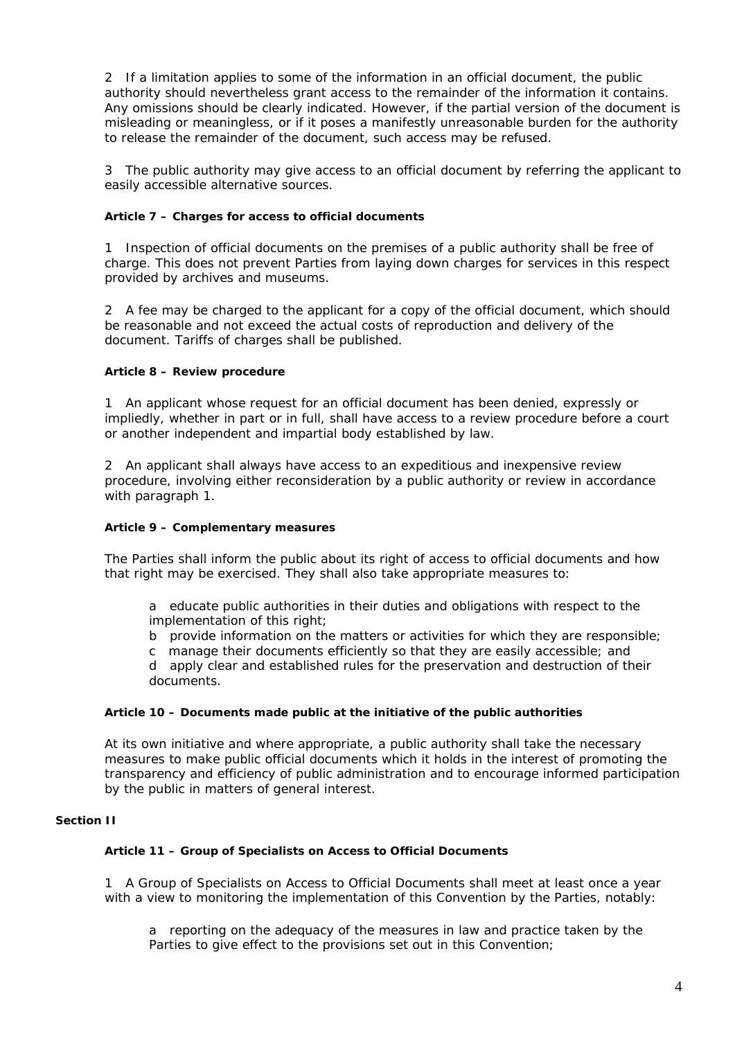2 If a limitation applies to some of the information in an official document, the public authority should nevertheless grant access to the remainder of the information it contains. Any omissions should be clearly indicated. However, if the partial version of the document is misleading or meaningless, or if it poses a manifestly unreasonable burden for the authority to release the remainder of the document, such access may be refused.

3 The public authority may give access to an official document by referring the applicant to easily accessible alternative sources.

## **Article 7 – Charges for access to official documents**

1 Inspection of official documents on the premises of a public authority shall be free of charge. This does not prevent Parties from laying down charges for services in this respect provided by archives and museums.

2 A fee may be charged to the applicant for a copy of the official document, which should be reasonable and not exceed the actual costs of reproduction and delivery of the document. Tariffs of charges shall be published.

## **Article 8 – Review procedure**

1 An applicant whose request for an official document has been denied, expressly or impliedly, whether in part or in full, shall have access to a review procedure before a court or another independent and impartial body established by law.

2 An applicant shall always have access to an expeditious and inexpensive review procedure, involving either reconsideration by a public authority or review in accordance with paragraph 1.

## **Article 9 – Complementary measures**

The Parties shall inform the public about its right of access to official documents and how that right may be exercised. They shall also take appropriate measures to:

a educate public authorities in their duties and obligations with respect to the implementation of this right;

- b provide information on the matters or activities for which they are responsible;
- c manage their documents efficiently so that they are easily accessible; and

d apply clear and established rules for the preservation and destruction of their documents.

#### **Article 10 – Documents made public at the initiative of the public authorities**

At its own initiative and where appropriate, a public authority shall take the necessary measures to make public official documents which it holds in the interest of promoting the transparency and efficiency of public administration and to encourage informed participation by the public in matters of general interest.

#### **Section II**

#### **Article 11 – Group of Specialists on Access to Official Documents**

1 A Group of Specialists on Access to Official Documents shall meet at least once a year with a view to monitoring the implementation of this Convention by the Parties, notably:

a reporting on the adequacy of the measures in law and practice taken by the Parties to give effect to the provisions set out in this Convention;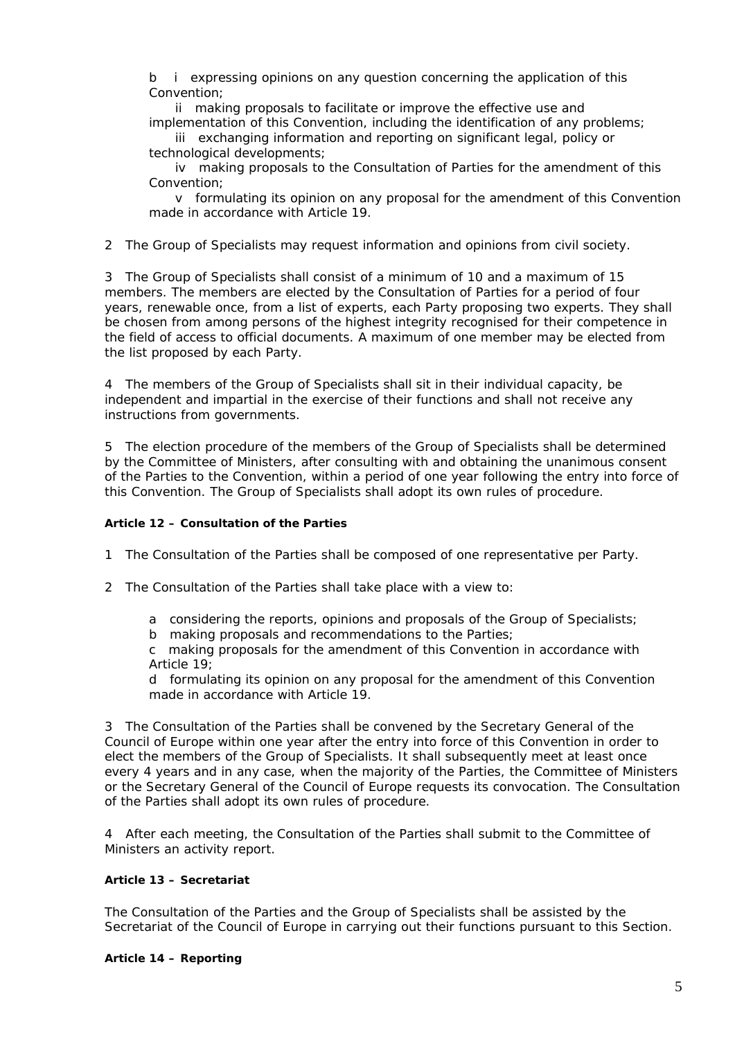b i expressing opinions on any question concerning the application of this Convention;

 ii making proposals to facilitate or improve the effective use and implementation of this Convention, including the identification of any problems;

 iii exchanging information and reporting on significant legal, policy or technological developments;

 iv making proposals to the Consultation of Parties for the amendment of this Convention;

 v formulating its opinion on any proposal for the amendment of this Convention made in accordance with Article 19.

2 The Group of Specialists may request information and opinions from civil society.

3 The Group of Specialists shall consist of a minimum of 10 and a maximum of 15 members. The members are elected by the Consultation of Parties for a period of four years, renewable once, from a list of experts, each Party proposing two experts. They shall be chosen from among persons of the highest integrity recognised for their competence in the field of access to official documents. A maximum of one member may be elected from the list proposed by each Party.

4 The members of the Group of Specialists shall sit in their individual capacity, be independent and impartial in the exercise of their functions and shall not receive any instructions from governments.

5 The election procedure of the members of the Group of Specialists shall be determined by the Committee of Ministers, after consulting with and obtaining the unanimous consent of the Parties to the Convention, within a period of one year following the entry into force of this Convention. The Group of Specialists shall adopt its own rules of procedure.

#### **Article 12 – Consultation of the Parties**

1 The Consultation of the Parties shall be composed of one representative per Party.

- 2 The Consultation of the Parties shall take place with a view to:
	- a considering the reports, opinions and proposals of the Group of Specialists;
	- b making proposals and recommendations to the Parties;

c making proposals for the amendment of this Convention in accordance with Article 19;

d formulating its opinion on any proposal for the amendment of this Convention made in accordance with Article 19.

3 The Consultation of the Parties shall be convened by the Secretary General of the Council of Europe within one year after the entry into force of this Convention in order to elect the members of the Group of Specialists. It shall subsequently meet at least once every 4 years and in any case, when the majority of the Parties, the Committee of Ministers or the Secretary General of the Council of Europe requests its convocation. The Consultation of the Parties shall adopt its own rules of procedure.

4 After each meeting, the Consultation of the Parties shall submit to the Committee of Ministers an activity report.

#### **Article 13 – Secretariat**

The Consultation of the Parties and the Group of Specialists shall be assisted by the Secretariat of the Council of Europe in carrying out their functions pursuant to this Section.

#### **Article 14 – Reporting**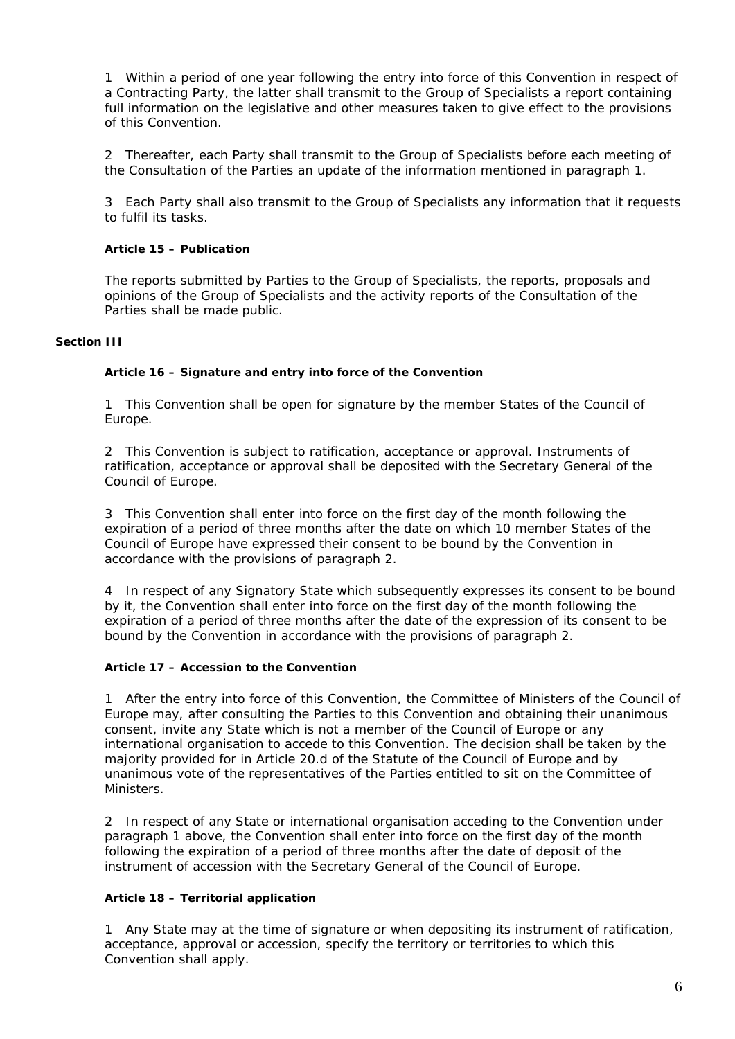1 Within a period of one year following the entry into force of this Convention in respect of a Contracting Party, the latter shall transmit to the Group of Specialists a report containing full information on the legislative and other measures taken to give effect to the provisions of this Convention.

2 Thereafter, each Party shall transmit to the Group of Specialists before each meeting of the Consultation of the Parties an update of the information mentioned in paragraph 1.

3 Each Party shall also transmit to the Group of Specialists any information that it requests to fulfil its tasks.

## **Article 15 – Publication**

The reports submitted by Parties to the Group of Specialists, the reports, proposals and opinions of the Group of Specialists and the activity reports of the Consultation of the Parties shall be made public.

#### **Section III**

#### **Article 16 – Signature and entry into force of the Convention**

1 This Convention shall be open for signature by the member States of the Council of Europe.

2 This Convention is subject to ratification, acceptance or approval. Instruments of ratification, acceptance or approval shall be deposited with the Secretary General of the Council of Europe.

3 This Convention shall enter into force on the first day of the month following the expiration of a period of three months after the date on which 10 member States of the Council of Europe have expressed their consent to be bound by the Convention in accordance with the provisions of paragraph 2.

4 In respect of any Signatory State which subsequently expresses its consent to be bound by it, the Convention shall enter into force on the first day of the month following the expiration of a period of three months after the date of the expression of its consent to be bound by the Convention in accordance with the provisions of paragraph 2.

#### **Article 17 – Accession to the Convention**

1 After the entry into force of this Convention, the Committee of Ministers of the Council of Europe may, after consulting the Parties to this Convention and obtaining their unanimous consent, invite any State which is not a member of the Council of Europe or any international organisation to accede to this Convention. The decision shall be taken by the majority provided for in Article 20.d of the Statute of the Council of Europe and by unanimous vote of the representatives of the Parties entitled to sit on the Committee of Ministers.

2 In respect of any State or international organisation acceding to the Convention under paragraph 1 above, the Convention shall enter into force on the first day of the month following the expiration of a period of three months after the date of deposit of the instrument of accession with the Secretary General of the Council of Europe.

## **Article 18 – Territorial application**

1 Any State may at the time of signature or when depositing its instrument of ratification, acceptance, approval or accession, specify the territory or territories to which this Convention shall apply.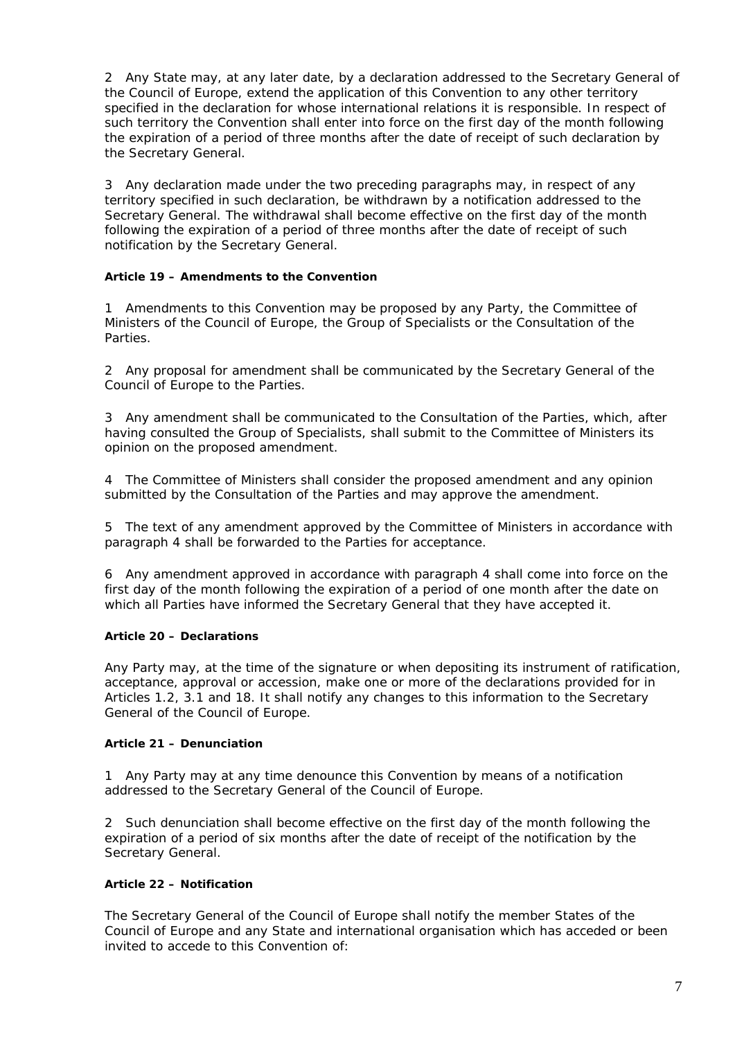2 Any State may, at any later date, by a declaration addressed to the Secretary General of the Council of Europe, extend the application of this Convention to any other territory specified in the declaration for whose international relations it is responsible. In respect of such territory the Convention shall enter into force on the first day of the month following the expiration of a period of three months after the date of receipt of such declaration by the Secretary General.

3 Any declaration made under the two preceding paragraphs may, in respect of any territory specified in such declaration, be withdrawn by a notification addressed to the Secretary General. The withdrawal shall become effective on the first day of the month following the expiration of a period of three months after the date of receipt of such notification by the Secretary General.

#### **Article 19 – Amendments to the Convention**

1 Amendments to this Convention may be proposed by any Party, the Committee of Ministers of the Council of Europe, the Group of Specialists or the Consultation of the Parties.

2 Any proposal for amendment shall be communicated by the Secretary General of the Council of Europe to the Parties.

3 Any amendment shall be communicated to the Consultation of the Parties, which, after having consulted the Group of Specialists, shall submit to the Committee of Ministers its opinion on the proposed amendment.

4 The Committee of Ministers shall consider the proposed amendment and any opinion submitted by the Consultation of the Parties and may approve the amendment.

5 The text of any amendment approved by the Committee of Ministers in accordance with paragraph 4 shall be forwarded to the Parties for acceptance.

6 Any amendment approved in accordance with paragraph 4 shall come into force on the first day of the month following the expiration of a period of one month after the date on which all Parties have informed the Secretary General that they have accepted it.

#### **Article 20 – Declarations**

Any Party may, at the time of the signature or when depositing its instrument of ratification, acceptance, approval or accession, make one or more of the declarations provided for in Articles 1.2, 3.1 and 18. It shall notify any changes to this information to the Secretary General of the Council of Europe.

#### **Article 21 – Denunciation**

1 Any Party may at any time denounce this Convention by means of a notification addressed to the Secretary General of the Council of Europe.

2 Such denunciation shall become effective on the first day of the month following the expiration of a period of six months after the date of receipt of the notification by the Secretary General.

## **Article 22 – Notification**

The Secretary General of the Council of Europe shall notify the member States of the Council of Europe and any State and international organisation which has acceded or been invited to accede to this Convention of: